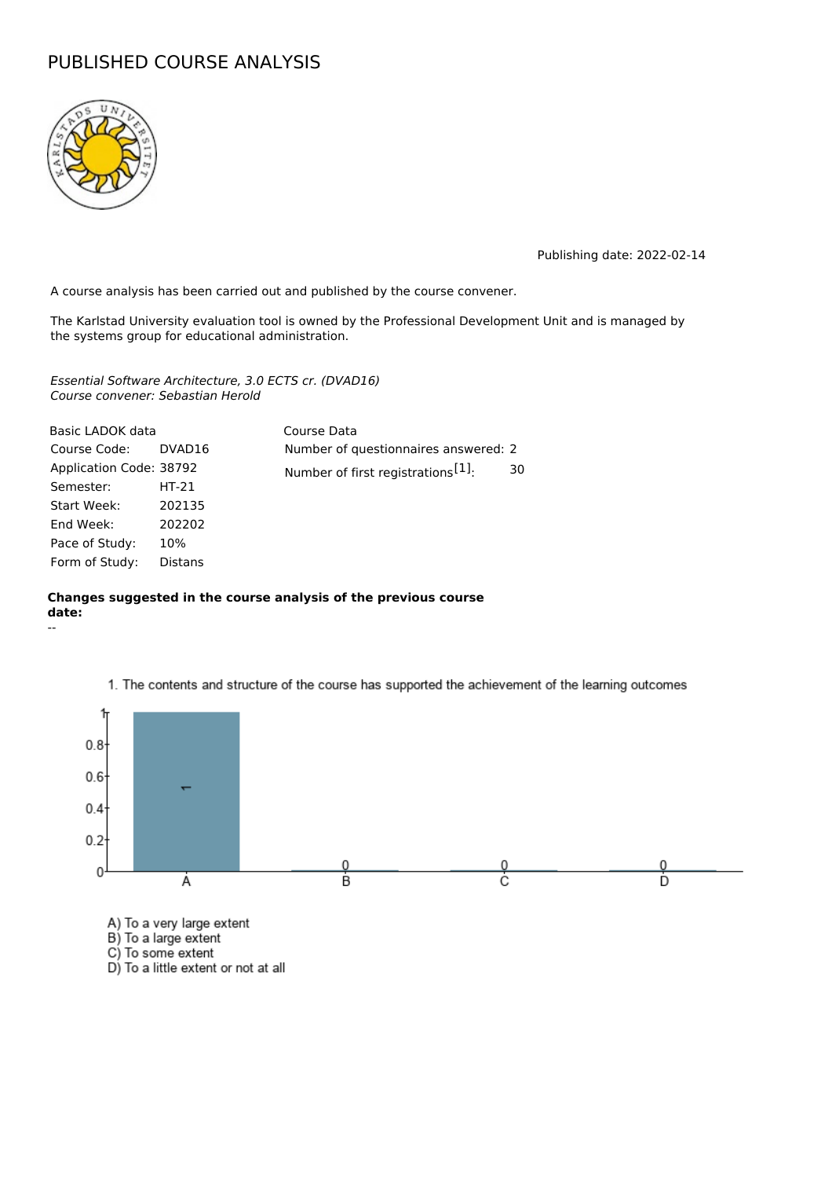## PUBLISHED COURSE ANALYSIS



Publishing date: 2022-02-14

A course analysis has been carried out and published by the course convener.

The Karlstad University evaluation tool is owned by the Professional Development Unit and is managed by the systems group for educational administration.

Essential Software Architecture, 3.0 ECTS cr. (DVAD16) Course convener: Sebastian Herold

| Basic LADOK data        |                | Course Data                                    |    |
|-------------------------|----------------|------------------------------------------------|----|
| Course Code:            | DVAD16         | Number of questionnaires answered: 2           |    |
| Application Code: 38792 |                | Number of first registrations <sup>[1]</sup> : | 30 |
| Semester:               | $HT-21$        |                                                |    |
| Start Week:             | 202135         |                                                |    |
| End Week:               | 202202         |                                                |    |
| Pace of Study:          | 10%            |                                                |    |
| Form of Study:          | <b>Distans</b> |                                                |    |

## **Changes suggested in the course analysis of the previous course date:**





1. The contents and structure of the course has supported the achievement of the learning outcomes

- 
- D) To a little extent or not at all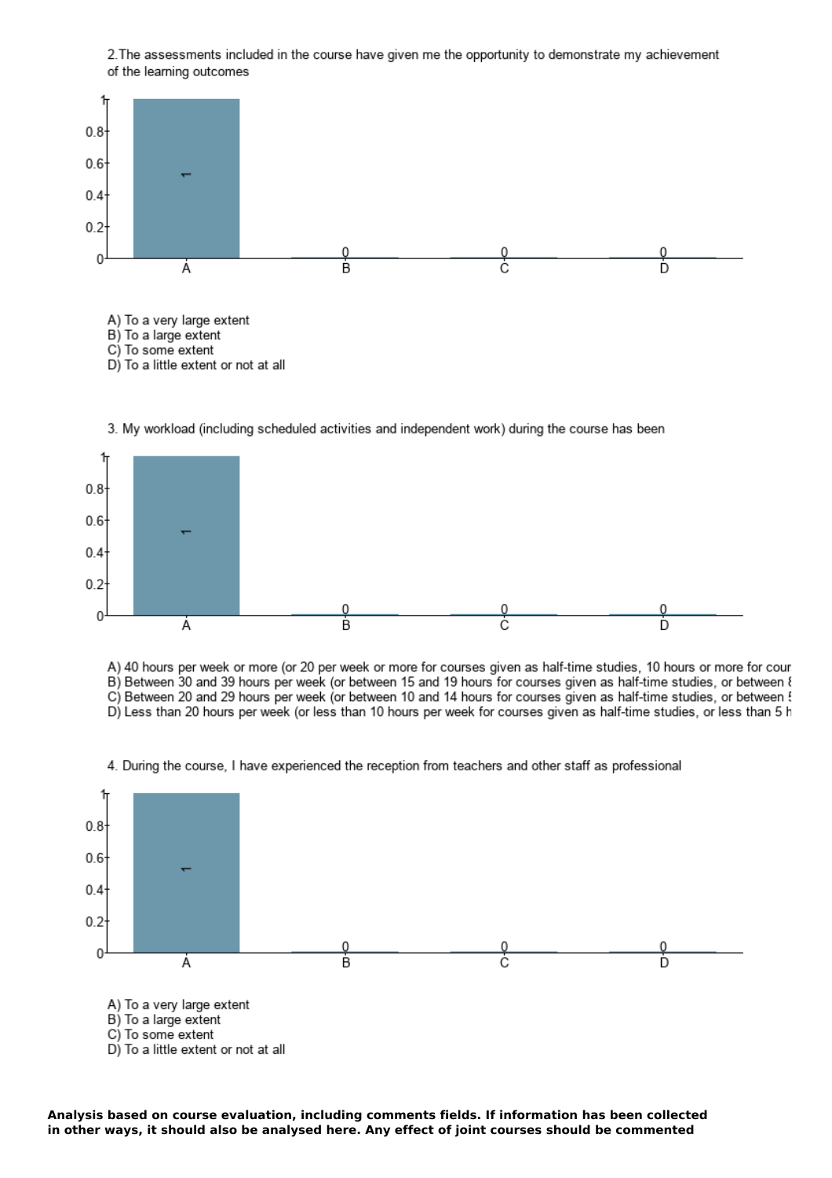2. The assessments included in the course have given me the opportunity to demonstrate my achievement of the learning outcomes





A) 40 hours per week or more (or 20 per week or more for courses given as half-time studies, 10 hours or more for cour B) Between 30 and 39 hours per week (or between 15 and 19 hours for courses given as half-time studies, or between  $\ell$ C) Between 20 and 29 hours per week (or between 10 and 14 hours for courses given as half-time studies, or between ! D) Less than 20 hours per week (or less than 10 hours per week for courses given as half-time studies, or less than 5 h

4. During the course, I have experienced the reception from teachers and other staff as professional



**Analysis based on course evaluation, including comments fields. If information has been collected in other ways, it should also be analysed here. Any effect of joint courses should be commented**